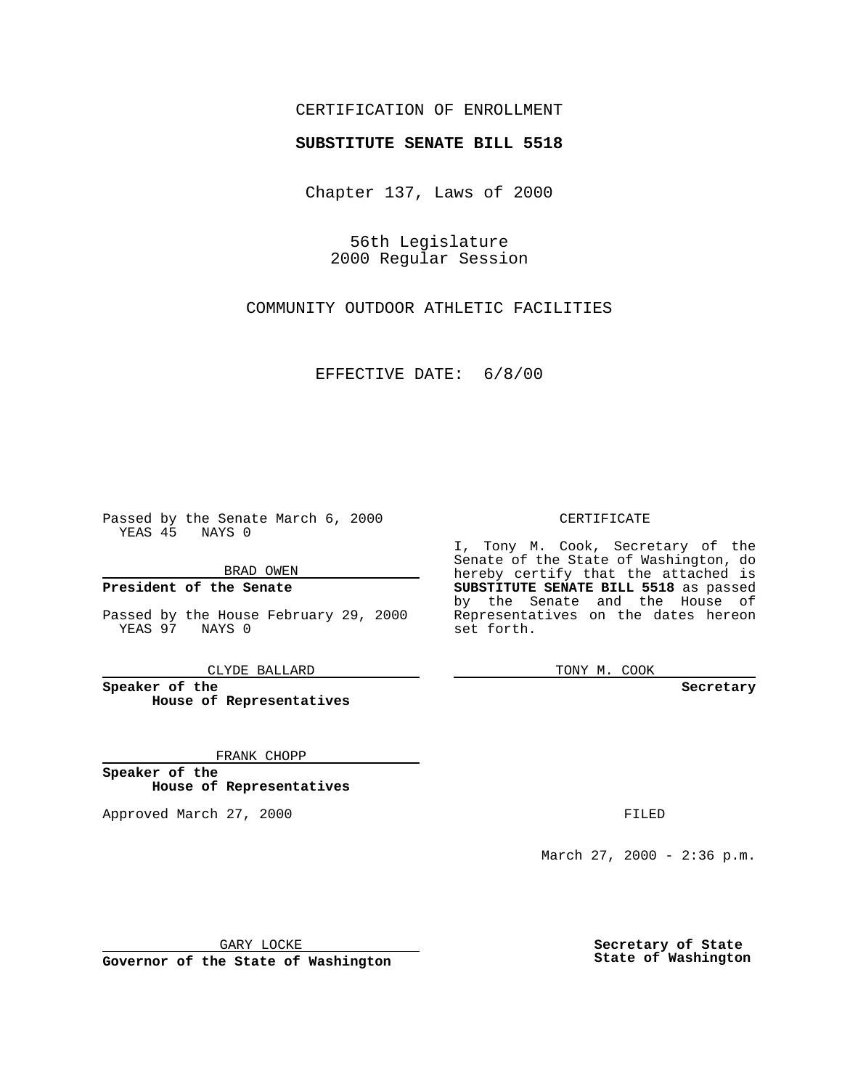## CERTIFICATION OF ENROLLMENT

# **SUBSTITUTE SENATE BILL 5518**

Chapter 137, Laws of 2000

56th Legislature 2000 Regular Session

COMMUNITY OUTDOOR ATHLETIC FACILITIES

EFFECTIVE DATE: 6/8/00

Passed by the Senate March 6, 2000 YEAS 45 NAYS 0

BRAD OWEN

**President of the Senate**

Passed by the House February 29, 2000 YEAS 97 NAYS 0

CLYDE BALLARD

**Speaker of the House of Representatives**

FRANK CHOPP

**Speaker of the House of Representatives**

Approved March 27, 2000 FILED

#### CERTIFICATE

I, Tony M. Cook, Secretary of the Senate of the State of Washington, do hereby certify that the attached is **SUBSTITUTE SENATE BILL 5518** as passed by the Senate and the House of Representatives on the dates hereon set forth.

TONY M. COOK

**Secretary**

March 27, 2000 - 2:36 p.m.

GARY LOCKE

**Governor of the State of Washington**

**Secretary of State State of Washington**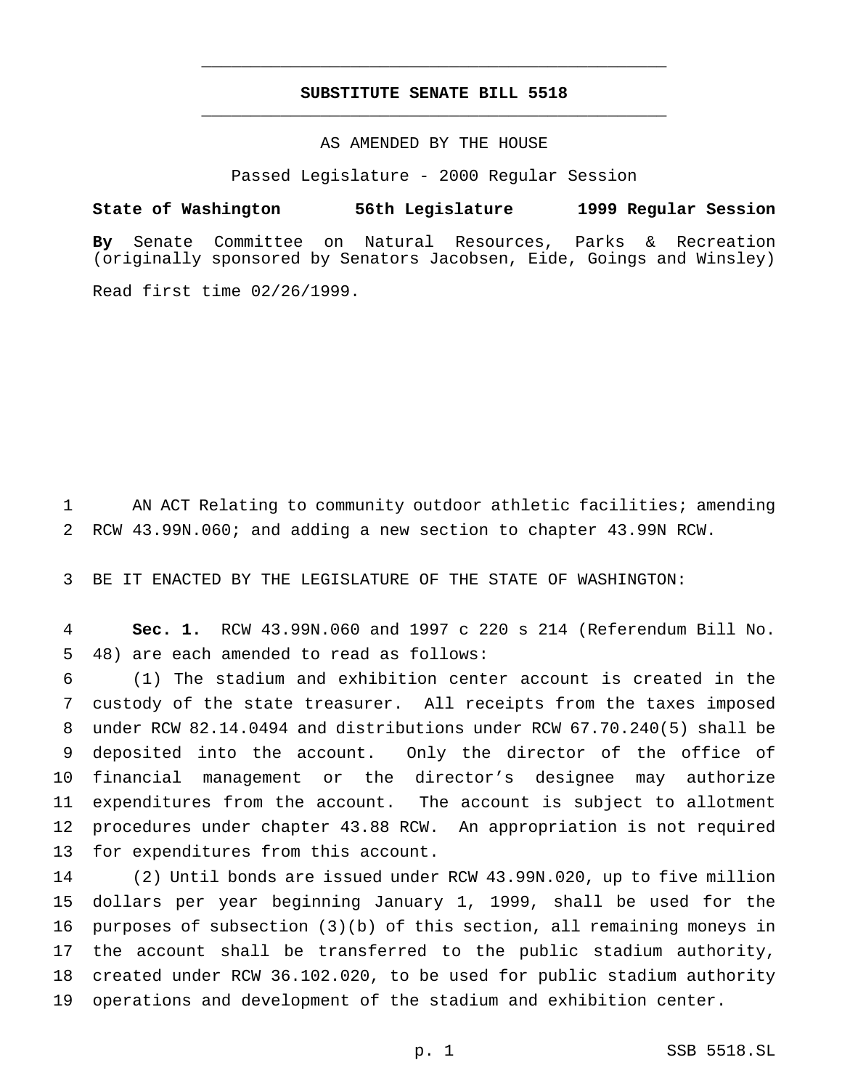## **SUBSTITUTE SENATE BILL 5518** \_\_\_\_\_\_\_\_\_\_\_\_\_\_\_\_\_\_\_\_\_\_\_\_\_\_\_\_\_\_\_\_\_\_\_\_\_\_\_\_\_\_\_\_\_\_\_

\_\_\_\_\_\_\_\_\_\_\_\_\_\_\_\_\_\_\_\_\_\_\_\_\_\_\_\_\_\_\_\_\_\_\_\_\_\_\_\_\_\_\_\_\_\_\_

### AS AMENDED BY THE HOUSE

Passed Legislature - 2000 Regular Session

#### **State of Washington 56th Legislature 1999 Regular Session**

**By** Senate Committee on Natural Resources, Parks & Recreation (originally sponsored by Senators Jacobsen, Eide, Goings and Winsley)

Read first time 02/26/1999.

 AN ACT Relating to community outdoor athletic facilities; amending RCW 43.99N.060; and adding a new section to chapter 43.99N RCW.

BE IT ENACTED BY THE LEGISLATURE OF THE STATE OF WASHINGTON:

 **Sec. 1.** RCW 43.99N.060 and 1997 c 220 s 214 (Referendum Bill No. 48) are each amended to read as follows:

 (1) The stadium and exhibition center account is created in the custody of the state treasurer. All receipts from the taxes imposed under RCW 82.14.0494 and distributions under RCW 67.70.240(5) shall be deposited into the account. Only the director of the office of financial management or the director's designee may authorize expenditures from the account. The account is subject to allotment procedures under chapter 43.88 RCW. An appropriation is not required for expenditures from this account.

 (2) Until bonds are issued under RCW 43.99N.020, up to five million dollars per year beginning January 1, 1999, shall be used for the purposes of subsection (3)(b) of this section, all remaining moneys in the account shall be transferred to the public stadium authority, created under RCW 36.102.020, to be used for public stadium authority operations and development of the stadium and exhibition center.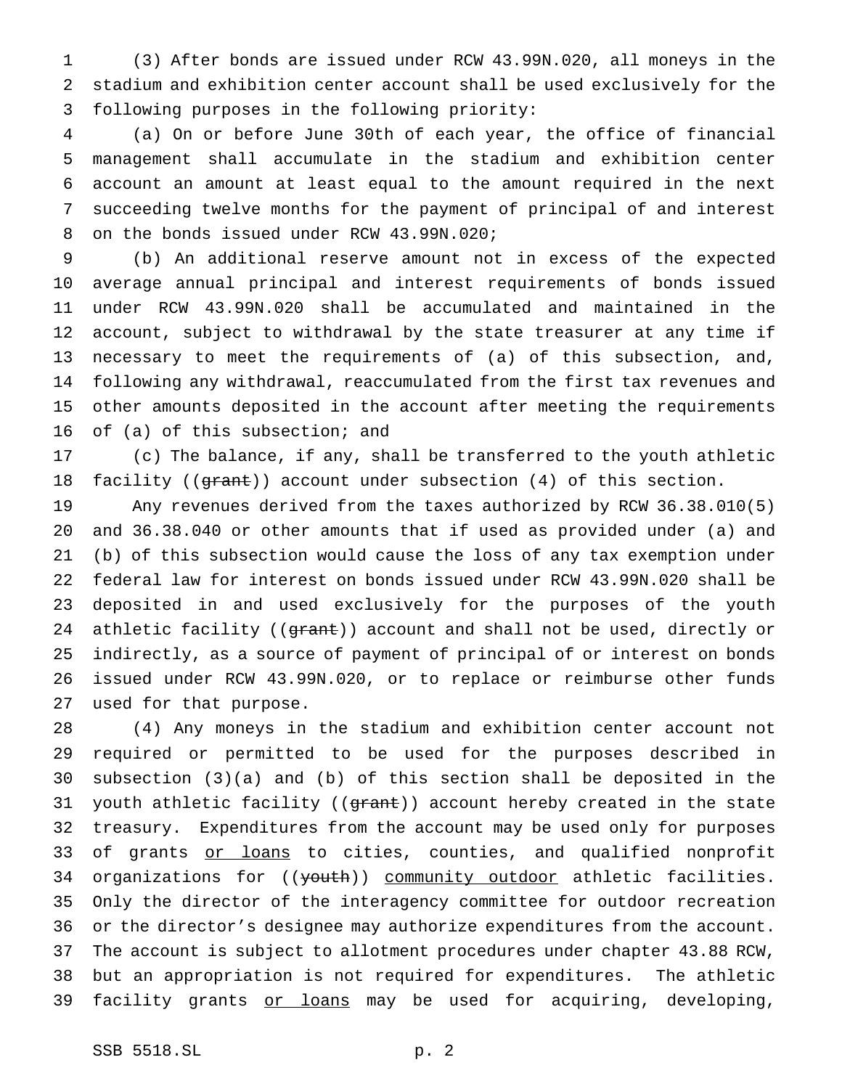(3) After bonds are issued under RCW 43.99N.020, all moneys in the stadium and exhibition center account shall be used exclusively for the following purposes in the following priority:

 (a) On or before June 30th of each year, the office of financial management shall accumulate in the stadium and exhibition center account an amount at least equal to the amount required in the next succeeding twelve months for the payment of principal of and interest on the bonds issued under RCW 43.99N.020;

 (b) An additional reserve amount not in excess of the expected average annual principal and interest requirements of bonds issued under RCW 43.99N.020 shall be accumulated and maintained in the account, subject to withdrawal by the state treasurer at any time if necessary to meet the requirements of (a) of this subsection, and, following any withdrawal, reaccumulated from the first tax revenues and other amounts deposited in the account after meeting the requirements of (a) of this subsection; and

 (c) The balance, if any, shall be transferred to the youth athletic 18 facility ((grant)) account under subsection (4) of this section.

 Any revenues derived from the taxes authorized by RCW 36.38.010(5) and 36.38.040 or other amounts that if used as provided under (a) and (b) of this subsection would cause the loss of any tax exemption under federal law for interest on bonds issued under RCW 43.99N.020 shall be deposited in and used exclusively for the purposes of the youth 24 athletic facility ((grant)) account and shall not be used, directly or indirectly, as a source of payment of principal of or interest on bonds issued under RCW 43.99N.020, or to replace or reimburse other funds used for that purpose.

 (4) Any moneys in the stadium and exhibition center account not required or permitted to be used for the purposes described in subsection (3)(a) and (b) of this section shall be deposited in the 31 youth athletic facility ((grant)) account hereby created in the state treasury. Expenditures from the account may be used only for purposes 33 of grants or loans to cities, counties, and qualified nonprofit 34 organizations for ((youth)) community outdoor athletic facilities. Only the director of the interagency committee for outdoor recreation or the director's designee may authorize expenditures from the account. The account is subject to allotment procedures under chapter 43.88 RCW, but an appropriation is not required for expenditures. The athletic 39 facility grants or loans may be used for acquiring, developing,